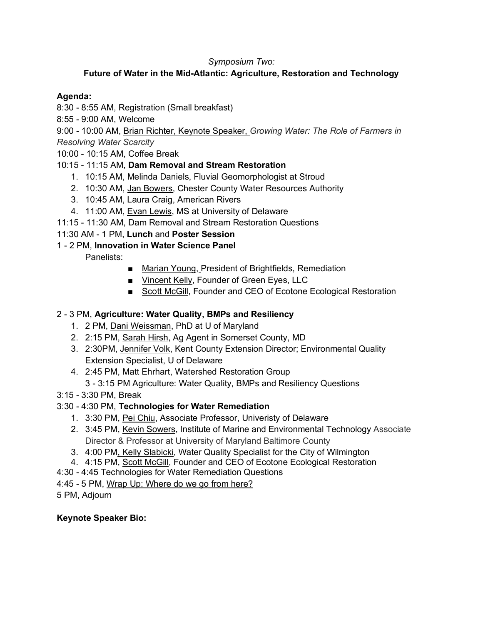#### *Symposium Two:*

# **Future of Water in the Mid-Atlantic: Agriculture, Restoration and Technology**

#### **Agenda:**

- 8:30 8:55 AM, Registration (Small breakfast)
- 8:55 9:00 AM, Welcome

9:00 - 10:00 AM, Brian Richter, Keynote Speaker, *Growing Water: The Role of Farmers in Resolving Water Scarcity*

10:00 - 10:15 AM, Coffee Break

## 10:15 - 11:15 AM, **Dam Removal and Stream Restoration**

- 1. 10:15 AM, Melinda Daniels, Fluvial Geomorphologist at Stroud
- 2. 10:30 AM, Jan Bowers, Chester County Water Resources Authority
- 3. 10:45 AM, Laura Craig, American Rivers
- 4. 11:00 AM, Evan Lewis, MS at University of Delaware
- 11:15 11:30 AM, Dam Removal and Stream Restoration Questions

## 11:30 AM - 1 PM, **Lunch** and **Poster Session**

## 1 - 2 PM, **Innovation in Water Science Panel**

Panelists:

- Marian Young, President of Brightfields, Remediation
- Vincent Kelly, Founder of Green Eyes, LLC
- Scott McGill, Founder and CEO of Ecotone Ecological Restoration

## 2 - 3 PM, **Agriculture: Water Quality, BMPs and Resiliency**

- 1. 2 PM, Dani Weissman, PhD at U of Maryland
- 2. 2:15 PM, Sarah Hirsh, Ag Agent in Somerset County, MD
- 3. 2:30PM, Jennifer Volk, Kent County Extension Director; Environmental Quality Extension Specialist, U of Delaware
- 4. 2:45 PM, Matt Ehrhart, Watershed Restoration Group
	- 3 3:15 PM Agriculture: Water Quality, BMPs and Resiliency Questions
- 3:15 3:30 PM, Break

## 3:30 - 4:30 PM, **Technologies for Water Remediation**

- 1. 3:30 PM, Pei Chiu, Associate Professor, Univeristy of Delaware
- 2. 3:45 PM, Kevin Sowers, Institute of Marine and Environmental Technology Associate Director & Professor at University of Maryland Baltimore County
- 3. 4:00 PM, Kelly Slabicki, Water Quality Specialist for the City of Wilmington
- 4. 4:15 PM, Scott McGill, Founder and CEO of Ecotone Ecological Restoration
- 4:30 4:45 Technologies for Water Remediation Questions
- 4:45 5 PM, Wrap Up: Where do we go from here?

5 PM, Adjourn

#### **Keynote Speaker Bio:**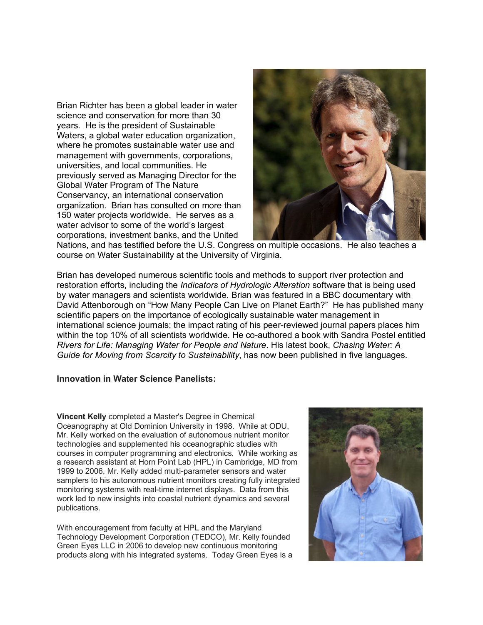Brian Richter has been a global leader in water science and conservation for more than 30 years. He is the president of Sustainable Waters, a global water education organization, where he promotes sustainable water use and management with governments, corporations, universities, and local communities. He previously served as Managing Director for the Global Water Program of The Nature Conservancy, an international conservation organization. Brian has consulted on more than 150 water projects worldwide. He serves as a water advisor to some of the world's largest corporations, investment banks, and the United



Nations, and has testified before the U.S. Congress on multiple occasions. He also teaches a course on Water Sustainability at the University of Virginia.

Brian has developed numerous scientific tools and methods to support river protection and restoration efforts, including the *Indicators of Hydrologic Alteration* software that is being used by water managers and scientists worldwide. Brian was featured in a BBC documentary with David Attenborough on "How Many People Can Live on Planet Earth?" He has published many scientific papers on the importance of ecologically sustainable water management in international science journals; the impact rating of his peer-reviewed journal papers places him within the top 10% of all scientists worldwide. He co-authored a book with Sandra Postel entitled *Rivers for Life: Managing Water for People and Nature*. His latest book, *Chasing Water: A Guide for Moving from Scarcity to Sustainability*, has now been published in five languages.

#### **Innovation in Water Science Panelists:**

**Vincent Kelly** completed a Master's Degree in Chemical Oceanography at Old Dominion University in 1998. While at ODU, Mr. Kelly worked on the evaluation of autonomous nutrient monitor technologies and supplemented his oceanographic studies with courses in computer programming and electronics. While working as a research assistant at Horn Point Lab (HPL) in Cambridge, MD from 1999 to 2006, Mr. Kelly added multi-parameter sensors and water samplers to his autonomous nutrient monitors creating fully integrated monitoring systems with real-time internet displays. Data from this work led to new insights into coastal nutrient dynamics and several publications.

With encouragement from faculty at HPL and the Maryland Technology Development Corporation (TEDCO), Mr. Kelly founded Green Eyes LLC in 2006 to develop new continuous monitoring products along with his integrated systems. Today Green Eyes is a

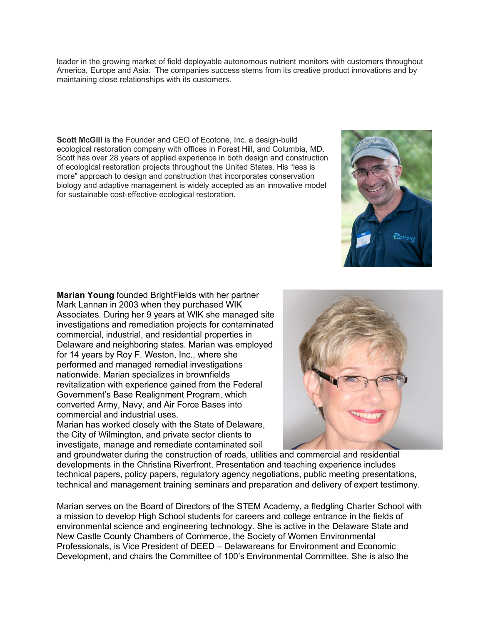leader in the growing market of field deployable autonomous nutrient monitors with customers throughout America, Europe and Asia. The companies success stems from its creative product innovations and by maintaining close relationships with its customers.

**Scott McGill** is the Founder and CEO of Ecotone, Inc. a design-build ecological restoration company with offices in Forest Hill, and Columbia, MD. Scott has over 28 years of applied experience in both design and construction of ecological restoration projects throughout the United States. His "less is more" approach to design and construction that incorporates conservation biology and adaptive management is widely accepted as an innovative model for sustainable cost-effective ecological restoration.

**Marian Young** founded BrightFields with her partner Mark Lannan in 2003 when they purchased WIK Associates. During her 9 years at WIK she managed site investigations and remediation projects for contaminated commercial, industrial, and residential properties in Delaware and neighboring states. Marian was employed for 14 years by Roy F. Weston, Inc., where she performed and managed remedial investigations nationwide. Marian specializes in brownfields revitalization with experience gained from the Federal Government's Base Realignment Program, which converted Army, Navy, and Air Force Bases into commercial and industrial uses. Marian has worked closely with the State of Delaware,

the City of Wilmington, and private sector clients to investigate, manage and remediate contaminated soil



and groundwater during the construction of roads, utilities and commercial and residential developments in the Christina Riverfront. Presentation and teaching experience includes technical papers, policy papers, regulatory agency negotiations, public meeting presentations, technical and management training seminars and preparation and delivery of expert testimony.

Marian serves on the Board of Directors of the STEM Academy, a fledgling Charter School with a mission to develop High School students for careers and college entrance in the fields of environmental science and engineering technology. She is active in the Delaware State and New Castle County Chambers of Commerce, the Society of Women Environmental Professionals, is Vice President of DEED – Delawareans for Environment and Economic Development, and chairs the Committee of 100's Environmental Committee. She is also the